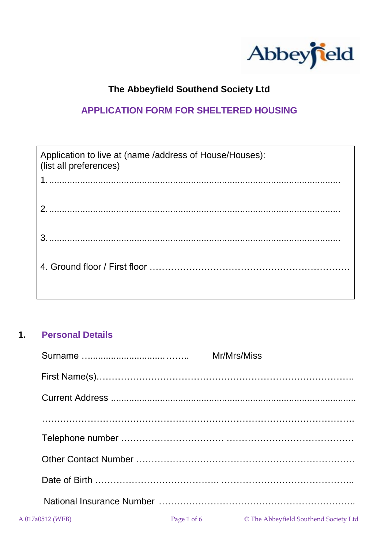

# **The Abbeyfield Southend Society Ltd**

## **APPLICATION FORM FOR SHELTERED HOUSING**

| Application to live at (name /address of House/Houses):<br>(list all preferences) |
|-----------------------------------------------------------------------------------|
|                                                                                   |
|                                                                                   |
|                                                                                   |
|                                                                                   |
|                                                                                   |
|                                                                                   |
|                                                                                   |
|                                                                                   |
|                                                                                   |

### **1. Personal Details**

|                  |             | Mr/Mrs/Miss                           |
|------------------|-------------|---------------------------------------|
|                  |             |                                       |
|                  |             |                                       |
|                  |             |                                       |
|                  |             |                                       |
|                  |             |                                       |
|                  |             |                                       |
|                  |             |                                       |
| A 017a0512 (WEB) | Page 1 of 6 | © The Abbeyfield Southend Society Ltd |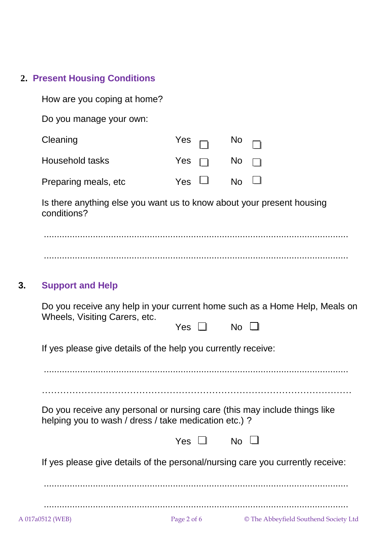# **2. Present Housing Conditions**

| Do you manage your own:<br>Cleaning<br>Yes<br><b>No</b><br><b>Household tasks</b><br>No.<br>Yes<br><b>No</b><br>Yes<br>Preparing meals, etc<br>Is there anything else you want us to know about your present housing<br>conditions?<br><b>Support and Help</b><br>3.<br>Do you receive any help in your current home such as a Home Help, Meals on<br>Wheels, Visiting Carers, etc.<br>No<br>Yes $\Box$<br>If yes please give details of the help you currently receive: |  |
|--------------------------------------------------------------------------------------------------------------------------------------------------------------------------------------------------------------------------------------------------------------------------------------------------------------------------------------------------------------------------------------------------------------------------------------------------------------------------|--|
|                                                                                                                                                                                                                                                                                                                                                                                                                                                                          |  |
|                                                                                                                                                                                                                                                                                                                                                                                                                                                                          |  |
|                                                                                                                                                                                                                                                                                                                                                                                                                                                                          |  |
|                                                                                                                                                                                                                                                                                                                                                                                                                                                                          |  |
|                                                                                                                                                                                                                                                                                                                                                                                                                                                                          |  |
|                                                                                                                                                                                                                                                                                                                                                                                                                                                                          |  |
|                                                                                                                                                                                                                                                                                                                                                                                                                                                                          |  |
|                                                                                                                                                                                                                                                                                                                                                                                                                                                                          |  |
|                                                                                                                                                                                                                                                                                                                                                                                                                                                                          |  |
|                                                                                                                                                                                                                                                                                                                                                                                                                                                                          |  |
| Do you receive any personal or nursing care (this may include things like<br>helping you to wash / dress / take medication etc.) ?                                                                                                                                                                                                                                                                                                                                       |  |
| Yes $\Box$ No $\Box$                                                                                                                                                                                                                                                                                                                                                                                                                                                     |  |
| If yes please give details of the personal/nursing care you currently receive:                                                                                                                                                                                                                                                                                                                                                                                           |  |
| Page 2 of 6<br>© The Abbeyfield Southend Society Ltd<br>A 017a0512 (WEB)                                                                                                                                                                                                                                                                                                                                                                                                 |  |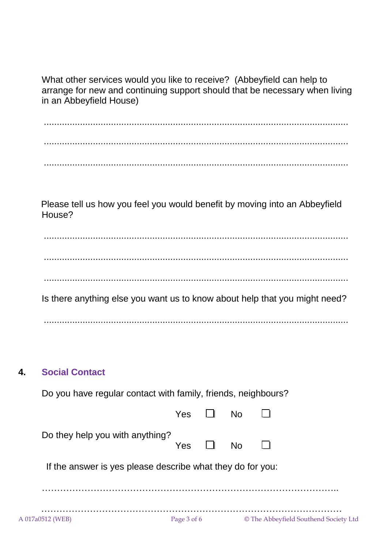What other services would you like to receive? (Abbeyfield can help to arrange for new and continuing support should that be necessary when living in an Abbeyfield House)

...................................................................................................................... ...................................................................................................................... ......................................................................................................................

 Please tell us how you feel you would benefit by moving into an Abbeyfield House?

...................................................................................................................... ...................................................................................................................... ...................................................................................................................... Is there anything else you want us to know about help that you might need? ......................................................................................................................

#### **4. Social Contact**

Do you have regular contact with family, friends, neighbours?

|                                                            | Yes         | <b>No</b> |                                       |
|------------------------------------------------------------|-------------|-----------|---------------------------------------|
| Do they help you with anything?                            | Yes $\Box$  | <b>No</b> |                                       |
| If the answer is yes please describe what they do for you: |             |           |                                       |
|                                                            |             |           |                                       |
| A 017a0512 (WEB)                                           | Page 3 of 6 |           | © The Abbeyfield Southend Society Ltd |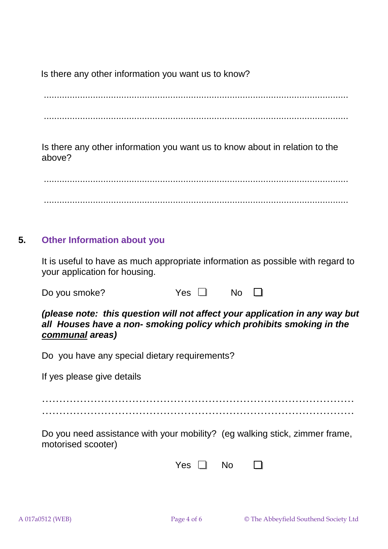Is there any other information you want us to know?

...................................................................................................................... ......................................................................................................................

Is there any other information you want us to know about in relation to the above?

...................................................................................................................... ......................................................................................................................

## **5. Other Information about you**

It is useful to have as much appropriate information as possible with regard to your application for housing.

| Do you smoke? | Yes $\Box$ | $\overline{\phantom{a}}$ No $\Box$ |  |
|---------------|------------|------------------------------------|--|
|               |            |                                    |  |

*(please note: this question will not affect your application in any way but all Houses have a non- smoking policy which prohibits smoking in the communal areas)*

Do you have any special dietary requirements?

If yes please give details

……………………………………………………………………………… ………………………………………………………………………………

Do you need assistance with your mobility? (eg walking stick, zimmer frame, motorised scooter)

| V<br>ρs | No. |  |
|---------|-----|--|
|---------|-----|--|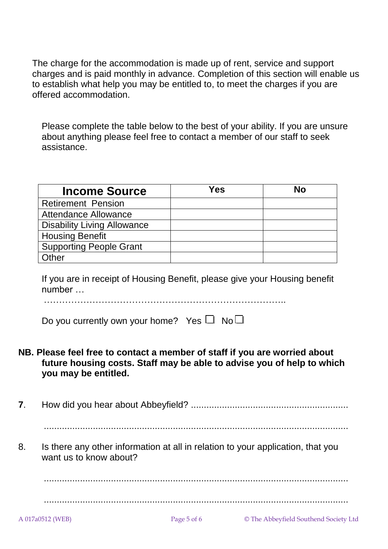The charge for the accommodation is made up of rent, service and support charges and is paid monthly in advance. Completion of this section will enable us to establish what help you may be entitled to, to meet the charges if you are offered accommodation.

Please complete the table below to the best of your ability. If you are unsure about anything please feel free to contact a member of our staff to seek assistance.

| <b>Income Source</b>               | Yes | <b>No</b> |
|------------------------------------|-----|-----------|
| <b>Retirement Pension</b>          |     |           |
| <b>Attendance Allowance</b>        |     |           |
| <b>Disability Living Allowance</b> |     |           |
| <b>Housing Benefit</b>             |     |           |
| <b>Supporting People Grant</b>     |     |           |
| Other                              |     |           |

If you are in receipt of Housing Benefit, please give your Housing benefit number …

……………………………………………………………………..

|  |  |  | Do you currently own your home? Yes $\Box$ No $\Box$ |  |  |  |
|--|--|--|------------------------------------------------------|--|--|--|
|--|--|--|------------------------------------------------------|--|--|--|

**NB. Please feel free to contact a member of staff if you are worried about future housing costs. Staff may be able to advise you of help to which you may be entitled.**

**7**. How did you hear about Abbeyfield? .............................................................

......................................................................................................................

8. Is there any other information at all in relation to your application, that you want us to know about?

......................................................................................................................

......................................................................................................................